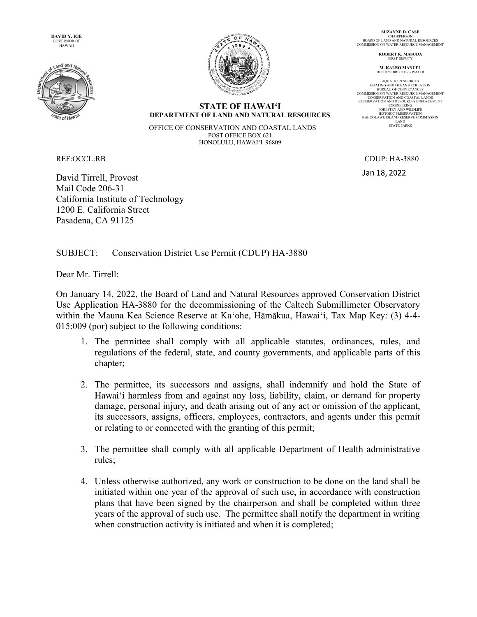DAVID Y. IGE GOVERNOR OF HAWAII





SUZANNE D. CASE CHAIRPERSON<br>BOARD OF LAND AND NATURAL RESOURCES<br>COMMISSION ON WATER RESOURCE MANAGEMENT

> ROBERT K. MASUDA FIRST DEPUTY

M. KALEO MANUEL DEPUTY DIRECTOR - WATER

AQUATIC RESOURCES BOATING AND OCEAN RECREATION BUREAU OF CONVEYANCES BUKEAU OF CONVETANCES<br>COMMISSION ON WATER RESOURCE MANAGEMENT CONSERVATION AND COASTAL LANDS CONSERVATION AND RESOURCES ENFORCEMENT ENGINEERING<br>FORESTRY AND WILDLIFE<br>HISTORIC PRESERVATION<br>KAHOOLAWE ISLAND RESERVE COMMISSION LAND STATE PARKS

**STATE OF HAWAI'I** DEPARTMENT OF LAND AND NATURAL RESOURCES

OFFICE OF CONSERVATION AND COASTAL LANDS POST OFFICE BOX 621 HONOLULU, HAWAI'I 96809

David Tirrell, Provost Mail Code 206-31 California Institute of Technology 1200 E. California Street Pasadena, CA 91125

REF:OCCL:RB CDUP: HA-3880 Jan 18, 2022

SUBJECT: Conservation District Use Permit (CDUP) HA-3880

Dear Mr. Tirrell:

On January 14, 2022, the Board of Land and Natural Resources approved Conservation District Use Application HA-3880 for the decommissioning of the Caltech Submillimeter Observatory within the Mauna Kea Science Reserve at Ka'ohe, Hāmākua, Hawai'i, Tax Map Key: (3) 4-4-015:009 (por) subject to the following conditions:

- 1. The permittee shall comply with all applicable statutes, ordinances, rules, and regulations of the federal, state, and county governments, and applicable parts of this chapter;
- 2. The permittee, its successors and assigns, shall indemnify and hold the State of Hawai'i harmless from and against any loss, liability, claim, or demand for property damage, personal injury, and death arising out of any act or omission of the applicant, its successors, assigns, officers, employees, contractors, and agents under this permit or relating to or connected with the granting of this permit;
- 3. The permittee shall comply with all applicable Department of Health administrative rules;
- 4. Unless otherwise authorized, any work or construction to be done on the land shall be initiated within one year of the approval of such use, in accordance with construction plans that have been signed by the chairperson and shall be completed within three years of the approval of such use. The permittee shall notify the department in writing when construction activity is initiated and when it is completed;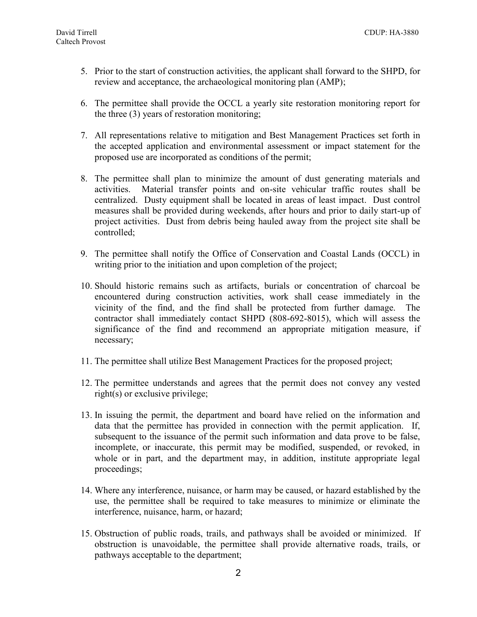- 5. Prior to the start of construction activities, the applicant shall forward to the SHPD, for review and acceptance, the archaeological monitoring plan (AMP);
- 6. The permittee shall provide the OCCL a yearly site restoration monitoring report for the three (3) years of restoration monitoring;
- 7. All representations relative to mitigation and Best Management Practices set forth in the accepted application and environmental assessment or impact statement for the proposed use are incorporated as conditions of the permit;
- 8. The permittee shall plan to minimize the amount of dust generating materials and activities. Material transfer points and on-site vehicular traffic routes shall be centralized. Dusty equipment shall be located in areas of least impact. Dust control measures shall be provided during weekends, after hours and prior to daily start-up of project activities. Dust from debris being hauled away from the project site shall be controlled;
- 9. The permittee shall notify the Office of Conservation and Coastal Lands (OCCL) in writing prior to the initiation and upon completion of the project;
- 10. Should historic remains such as artifacts, burials or concentration of charcoal be encountered during construction activities, work shall cease immediately in the vicinity of the find, and the find shall be protected from further damage. The contractor shall immediately contact SHPD (808-692-8015), which will assess the significance of the find and recommend an appropriate mitigation measure, if necessary;
- 11. The permittee shall utilize Best Management Practices for the proposed project;
- 12. The permittee understands and agrees that the permit does not convey any vested right(s) or exclusive privilege;
- 13. In issuing the permit, the department and board have relied on the information and data that the permittee has provided in connection with the permit application. If, subsequent to the issuance of the permit such information and data prove to be false, incomplete, or inaccurate, this permit may be modified, suspended, or revoked, in whole or in part, and the department may, in addition, institute appropriate legal proceedings;
- 14. Where any interference, nuisance, or harm may be caused, or hazard established by the use, the permittee shall be required to take measures to minimize or eliminate the interference, nuisance, harm, or hazard;
- 15. Obstruction of public roads, trails, and pathways shall be avoided or minimized. If obstruction is unavoidable, the permittee shall provide alternative roads, trails, or pathways acceptable to the department;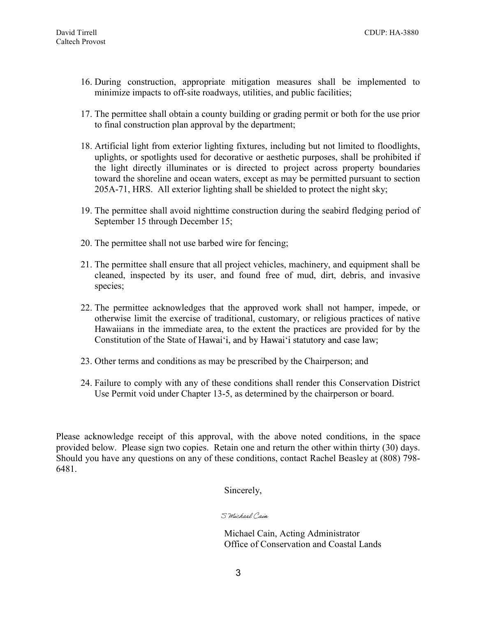- 16. During construction, appropriate mitigation measures shall be implemented to minimize impacts to off-site roadways, utilities, and public facilities;
- 17. The permittee shall obtain a county building or grading permit or both for the use prior to final construction plan approval by the department;
- 18. Artificial light from exterior lighting fixtures, including but not limited to floodlights, uplights, or spotlights used for decorative or aesthetic purposes, shall be prohibited if the light directly illuminates or is directed to project across property boundaries toward the shoreline and ocean waters, except as may be permitted pursuant to section 205A-71, HRS. All exterior lighting shall be shielded to protect the night sky;
- 19. The permittee shall avoid nighttime construction during the seabird fledging period of September 15 through December 15;
- 20. The permittee shall not use barbed wire for fencing;
- 21. The permittee shall ensure that all project vehicles, machinery, and equipment shall be cleaned, inspected by its user, and found free of mud, dirt, debris, and invasive species;
- 22. The permittee acknowledges that the approved work shall not hamper, impede, or otherwise limit the exercise of traditional, customary, or religious practices of native Hawaiians in the immediate area, to the extent the practices are provided for by the Constitution of the State of Hawai'i, and by Hawai'i statutory and case law;
- 23. Other terms and conditions as may be prescribed by the Chairperson; and
- 24. Failure to comply with any of these conditions shall render this Conservation District Use Permit void under Chapter 13-5, as determined by the chairperson or board.

Please acknowledge receipt of this approval, with the above noted conditions, in the space provided below. Please sign two copies. Retain one and return the other within thirty (30) days. Should you have any questions on any of these conditions, contact Rachel Beasley at (808) 798- 6481.

Sincerely,

S Michael Cain

Michael Cain, Acting Administrator Office of Conservation and Coastal Lands